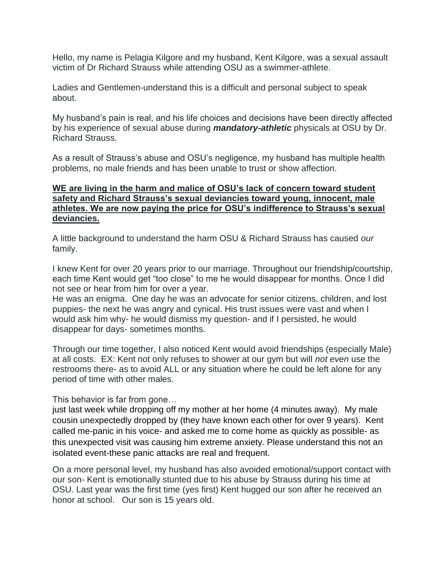Hello, my name is Pelagia Kilgore and my husband, Kent Kilgore, was a sexual assault victim of Dr Richard Strauss while attending OSU as a swimmer-athlete.

Ladies and Gentlemen-understand this is a difficult and personal subject to speak about.

My husband's pain is real, and his life choices and decisions have been directly affected by his experience of sexual abuse during *mandatory-athletic* physicals at OSU by Dr. Richard Strauss.

As a result of Strauss's abuse and OSU's negligence, my husband has multiple health problems, no male friends and has been unable to trust or show affection.

## **WE are living in the harm and malice of OSU's lack of concern toward student safety and Richard Strauss's sexual deviancies toward young, innocent, male athletes. We are now paying the price for OSU's indifference to Strauss's sexual deviancies.**

A little background to understand the harm OSU & Richard Strauss has caused *our* family.

I knew Kent for over 20 years prior to our marriage. Throughout our friendship/courtship, each time Kent would get "too close" to me he would disappear for months. Once I did not see or hear from him for over a year.

He was an enigma. One day he was an advocate for senior citizens, children, and lost puppies- the next he was angry and cynical. His trust issues were vast and when I would ask him why- he would dismiss my question- and if I persisted, he would disappear for days- sometimes months.

Through our time together, I also noticed Kent would avoid friendships (especially Male) at all costs. EX: Kent not only refuses to shower at our gym but will *not even* use the restrooms there- as to avoid ALL or any situation where he could be left alone for any period of time with other males.

This behavior is far from gone…

just last week while dropping off my mother at her home (4 minutes away). My male cousin unexpectedly dropped by (they have known each other for over 9 years). Kent called me-panic in his voice- and asked me to come home as quickly as possible- as this unexpected visit was causing him extreme anxiety. Please understand this not an isolated event-these panic attacks are real and frequent.

On a more personal level, my husband has also avoided emotional/support contact with our son- Kent is emotionally stunted due to his abuse by Strauss during his time at OSU. Last year was the first time (yes first) Kent hugged our son after he received an honor at school. Our son is 15 years old.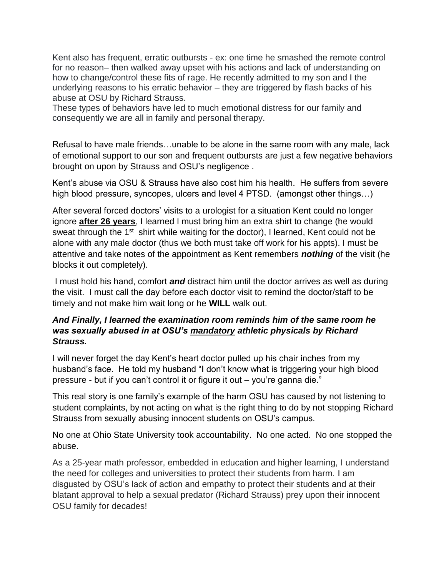Kent also has frequent, erratic outbursts - ex: one time he smashed the remote control for no reason– then walked away upset with his actions and lack of understanding on how to change/control these fits of rage. He recently admitted to my son and I the underlying reasons to his erratic behavior – they are triggered by flash backs of his abuse at OSU by Richard Strauss.

These types of behaviors have led to much emotional distress for our family and consequently we are all in family and personal therapy.

Refusal to have male friends…unable to be alone in the same room with any male, lack of emotional support to our son and frequent outbursts are just a few negative behaviors brought on upon by Strauss and OSU's negligence .

Kent's abuse via OSU & Strauss have also cost him his health. He suffers from severe high blood pressure, syncopes, ulcers and level 4 PTSD. (amongst other things...)

After several forced doctors' visits to a urologist for a situation Kent could no longer ignore **after 26 years**, I learned I must bring him an extra shirt to change (he would sweat through the 1<sup>st</sup> shirt while waiting for the doctor), I learned, Kent could not be alone with any male doctor (thus we both must take off work for his appts). I must be attentive and take notes of the appointment as Kent remembers *nothing* of the visit (he blocks it out completely).

I must hold his hand, comfort *and* distract him until the doctor arrives as well as during the visit. I must call the day before each doctor visit to remind the doctor/staff to be timely and not make him wait long or he **WILL** walk out.

## *And Finally, I learned the examination room reminds him of the same room he was sexually abused in at OSU's mandatory athletic physicals by Richard Strauss.*

I will never forget the day Kent's heart doctor pulled up his chair inches from my husband's face. He told my husband "I don't know what is triggering your high blood pressure - but if you can't control it or figure it out – you're ganna die."

This real story is one family's example of the harm OSU has caused by not listening to student complaints, by not acting on what is the right thing to do by not stopping Richard Strauss from sexually abusing innocent students on OSU's campus.

No one at Ohio State University took accountability. No one acted. No one stopped the abuse.

As a 25-year math professor, embedded in education and higher learning, I understand the need for colleges and universities to protect their students from harm. I am disgusted by OSU's lack of action and empathy to protect their students and at their blatant approval to help a sexual predator (Richard Strauss) prey upon their innocent OSU family for decades!